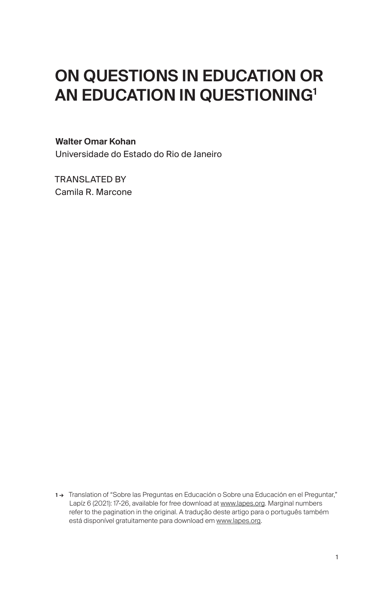## ON QUESTIONS IN EDUCATION OR AN EDUCATION IN QUESTIONING<sup>1</sup>

## Walter Omar Kohan

Universidade do Estado do Rio de Janeiro

TRANSLATED BY Camila R. Marcone

1 → Translation of "Sobre las Preguntas en Educación o Sobre una Educación en el Preguntar," Lapíz 6 (2021): 17-26, available for free download at [www.lapes.org.](http://www.lapes.org) Marginal numbers refer to the pagination in the original. A tradução deste artigo para o português também está disponível gratuitamente para download em [www.lapes.org](http://www.lapes.org).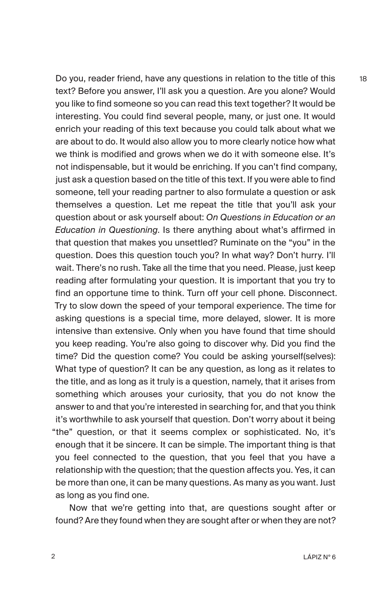Do you, reader friend, have any questions in relation to the title of this text? Before you answer, I'll ask you a question. Are you alone? Would you like to find someone so you can read this text together? It would be interesting. You could find several people, many, or just one. It would enrich your reading of this text because you could talk about what we are about to do. It would also allow you to more clearly notice how what we think is modified and grows when we do it with someone else. It's not indispensable, but it would be enriching. If you can't find company, just ask a question based on the title of this text. If you were able to find someone, tell your reading partner to also formulate a question or ask themselves a question. Let me repeat the title that you'll ask your question about or ask yourself about: *On Questions in Education or an Education in Questioning*. Is there anything about what's affirmed in that question that makes you unsettled? Ruminate on the "you" in the question. Does this question touch you? In what way? Don't hurry. I'll wait. There's no rush. Take all the time that you need. Please, just keep reading after formulating your question. It is important that you try to find an opportune time to think. Turn off your cell phone. Disconnect. Try to slow down the speed of your temporal experience. The time for asking questions is a special time, more delayed, slower. It is more intensive than extensive. Only when you have found that time should you keep reading. You're also going to discover why. Did you find the time? Did the question come? You could be asking yourself(selves): What type of question? It can be any question, as long as it relates to the title, and as long as it truly is a question, namely, that it arises from something which arouses your curiosity, that you do not know the answer to and that you're interested in searching for, and that you think it's worthwhile to ask yourself that question. Don't worry about it being "the" question, or that it seems complex or sophisticated. No, it's enough that it be sincere. It can be simple. The important thing is that you feel connected to the question, that you feel that you have a relationship with the question; that the question affects you. Yes, it can be more than one, it can be many questions. As many as you want. Just as long as you find one.

Now that we're getting into that, are questions sought after or found? Are they found when they are sought after or when they are not? 18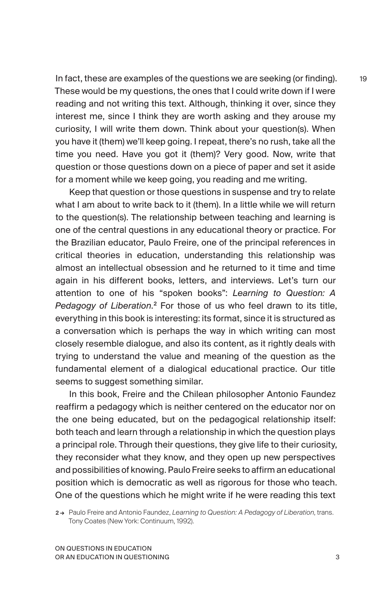In fact, these are examples of the questions we are seeking (or finding). These would be my questions, the ones that I could write down if I were reading and not writing this text. Although, thinking it over, since they interest me, since I think they are worth asking and they arouse my curiosity, I will write them down. Think about your question(s). When you have it (them) we'll keep going. I repeat, there's no rush, take all the time you need. Have you got it (them)? Very good. Now, write that question or those questions down on a piece of paper and set it aside for a moment while we keep going, you reading and me writing.

Keep that question or those questions in suspense and try to relate what I am about to write back to it (them). In a little while we will return to the question(s). The relationship between teaching and learning is one of the central questions in any educational theory or practice. For the Brazilian educator, Paulo Freire, one of the principal references in critical theories in education, understanding this relationship was almost an intellectual obsession and he returned to it time and time again in his different books, letters, and interviews. Let's turn our attention to one of his "spoken books": *Learning to Question: A*  Pedagogy of Liberation.<sup>2</sup> For those of us who feel drawn to its title, everything in this book is interesting: its format, since it is structured as a conversation which is perhaps the way in which writing can most closely resemble dialogue, and also its content, as it rightly deals with trying to understand the value and meaning of the question as the fundamental element of a dialogical educational practice. Our title seems to suggest something similar.

In this book, Freire and the Chilean philosopher Antonio Faundez reaffirm a pedagogy which is neither centered on the educator nor on the one being educated, but on the pedagogical relationship itself: both teach and learn through a relationship in which the question plays a principal role. Through their questions, they give life to their curiosity, they reconsider what they know, and they open up new perspectives and possibilities of knowing. Paulo Freire seeks to affirm an educational position which is democratic as well as rigorous for those who teach. One of the questions which he might write if he were reading this text

2 → Paulo Freire and Antonio Faundez, *Learning to Question: A Pedagogy of Liberation*, trans. Tony Coates (New York: Continuum, 1992).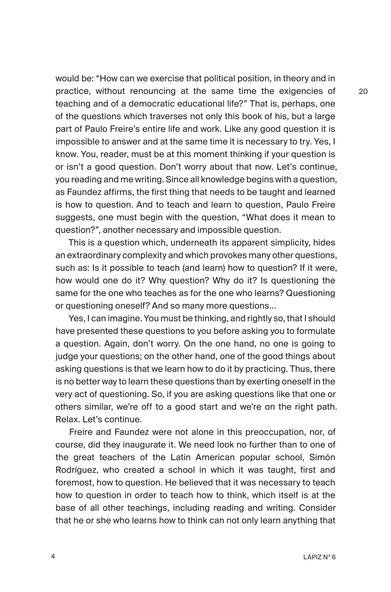would be: "How can we exercise that political position, in theory and in practice, without renouncing at the same time the exigencies of teaching and of a democratic educational life?" That is, perhaps, one of the questions which traverses not only this book of his, but a large part of Paulo Freire's entire life and work. Like any good question it is impossible to answer and at the same time it is necessary to try. Yes, I know. You, reader, must be at this moment thinking if your question is or isn't a good question. Don't worry about that now. Let's continue, you reading and me writing. Since all knowledge begins with a question, as Faundez affirms, the first thing that needs to be taught and learned is how to question. And to teach and learn to question, Paulo Freire suggests, one must begin with the question, "What does it mean to question?", another necessary and impossible question.

This is a question which, underneath its apparent simplicity, hides an extraordinary complexity and which provokes many other questions, such as: Is it possible to teach (and learn) how to question? If it were, how would one do it? Why question? Why do it? Is questioning the same for the one who teaches as for the one who learns? Questioning or questioning oneself? And so many more questions...

Yes, I can imagine. You must be thinking, and rightly so, that I should have presented these questions to you before asking you to formulate a question. Again, don't worry. On the one hand, no one is going to judge your questions; on the other hand, one of the good things about asking questions is that we learn how to do it by practicing. Thus, there is no better way to learn these questions than by exerting oneself in the very act of questioning. So, if you are asking questions like that one or others similar, we're off to a good start and we're on the right path. Relax. Let's continue.

Freire and Faundez were not alone in this preoccupation, nor, of course, did they inaugurate it. We need look no further than to one of the great teachers of the Latin American popular school, Simón Rodríguez, who created a school in which it was taught, first and foremost, how to question. He believed that it was necessary to teach how to question in order to teach how to think, which itself is at the base of all other teachings, including reading and writing. Consider that he or she who learns how to think can not only learn anything that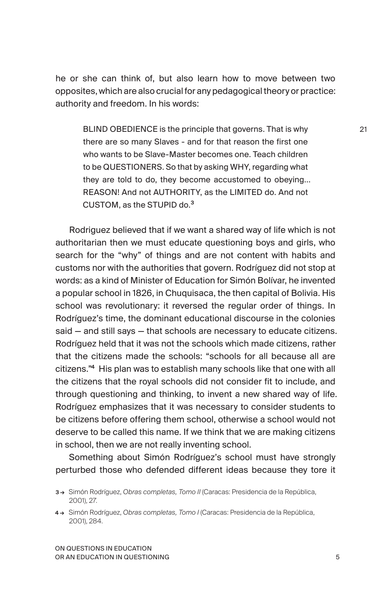he or she can think of, but also learn how to move between two opposites, which are also crucial for any pedagogical theory or practice: authority and freedom. In his words:

BLIND OBEDIENCE is the principle that governs. That is why there are so many Slaves - and for that reason the first one who wants to be Slave-Master becomes one. Teach children to be QUESTIONERS. So that by asking WHY, regarding what they are told to do, they become accustomed to obeying… REASON! And not AUTHORITY, as the LIMITED do. And not CUSTOM, as the STUPID do.<sup>3</sup>

Rodriguez believed that if we want a shared way of life which is not authoritarian then we must educate questioning boys and girls, who search for the "why" of things and are not content with habits and customs nor with the authorities that govern. Rodríguez did not stop at words: as a kind of Minister of Education for Simón Bolívar, he invented a popular school in 1826, in Chuquisaca, the then capital of Bolivia. His school was revolutionary: it reversed the regular order of things. In Rodríguez's time, the dominant educational discourse in the colonies said — and still says — that schools are necessary to educate citizens. Rodríguez held that it was not the schools which made citizens, rather that the citizens made the schools: "schools for all because all are citizens."<sup>4</sup> His plan was to establish many schools like that one with all the citizens that the royal schools did not consider fit to include, and through questioning and thinking, to invent a new shared way of life. Rodríguez emphasizes that it was necessary to consider students to be citizens before offering them school, otherwise a school would not deserve to be called this name. If we think that we are making citizens in school, then we are not really inventing school.

Something about Simón Rodríguez's school must have strongly perturbed those who defended different ideas because they tore it

<sup>3 →</sup> Simón Rodríguez, *Obras completas, Tomo II* (Caracas: Presidencia de la República, 2001), 27.

<sup>4 →</sup> Simón Rodríguez, *Obras completas, Tomo I* (Caracas: Presidencia de la República, 2001), 284.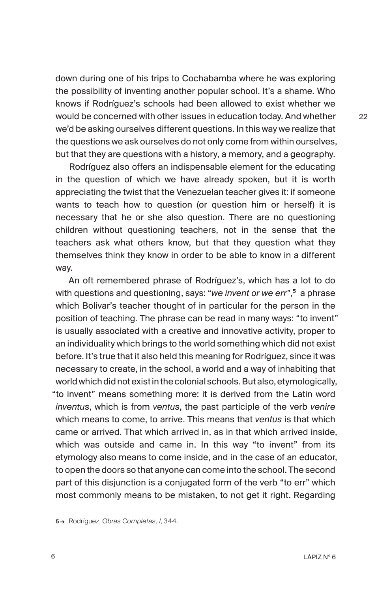down during one of his trips to Cochabamba where he was exploring the possibility of inventing another popular school. It's a shame. Who knows if Rodríguez's schools had been allowed to exist whether we would be concerned with other issues in education today. And whether we'd be asking ourselves different questions. In this way we realize that the questions we ask ourselves do not only come from within ourselves, but that they are questions with a history, a memory, and a geography.

Rodríguez also offers an indispensable element for the educating in the question of which we have already spoken, but it is worth appreciating the twist that the Venezuelan teacher gives it: if someone wants to teach how to question (or question him or herself) it is necessary that he or she also question. There are no questioning children without questioning teachers, not in the sense that the teachers ask what others know, but that they question what they themselves think they know in order to be able to know in a different way.

An oft remembered phrase of Rodríguez's, which has a lot to do with questions and questioning, says: "*we invent or we err*",<sup>5</sup> a phrase which Bolivar's teacher thought of in particular for the person in the position of teaching. The phrase can be read in many ways: "to invent" is usually associated with a creative and innovative activity, proper to an individuality which brings to the world something which did not exist before. It's true that it also held this meaning for Rodríguez, since it was necessary to create, in the school, a world and a way of inhabiting that world which did not exist in the colonial schools. But also, etymologically, "to invent" means something more: it is derived from the Latin word *inventus*, which is from *ventus*, the past participle of the verb *venire* which means to come, to arrive. This means that *ventus* is that which came or arrived. That which arrived in, as in that which arrived inside, which was outside and came in. In this way "to invent" from its etymology also means to come inside, and in the case of an educator, to open the doors so that anyone can come into the school. The second part of this disjunction is a conjugated form of the verb "to err" which most commonly means to be mistaken, to not get it right. Regarding

<sup>5 →</sup> Rodríguez, *Obras Completas, I*, 344.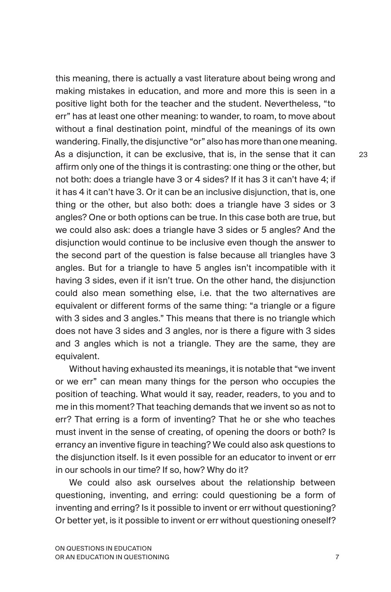this meaning, there is actually a vast literature about being wrong and making mistakes in education, and more and more this is seen in a positive light both for the teacher and the student. Nevertheless, "to err" has at least one other meaning: to wander, to roam, to move about without a final destination point, mindful of the meanings of its own wandering. Finally, the disjunctive "or" also has more than one meaning. As a disjunction, it can be exclusive, that is, in the sense that it can affirm only one of the things it is contrasting: one thing or the other, but not both: does a triangle have 3 or 4 sides? If it has 3 it can't have 4; if it has 4 it can't have 3. Or it can be an inclusive disjunction, that is, one thing or the other, but also both: does a triangle have 3 sides or 3 angles? One or both options can be true. In this case both are true, but we could also ask: does a triangle have 3 sides or 5 angles? And the disjunction would continue to be inclusive even though the answer to the second part of the question is false because all triangles have 3 angles. But for a triangle to have 5 angles isn't incompatible with it having 3 sides, even if it isn't true. On the other hand, the disjunction could also mean something else, i.e. that the two alternatives are equivalent or different forms of the same thing: "a triangle or a figure with 3 sides and 3 angles." This means that there is no triangle which does not have 3 sides and 3 angles, nor is there a figure with 3 sides and 3 angles which is not a triangle. They are the same, they are equivalent.

Without having exhausted its meanings, it is notable that "we invent or we err" can mean many things for the person who occupies the position of teaching. What would it say, reader, readers, to you and to me in this moment? That teaching demands that we invent so as not to err? That erring is a form of inventing? That he or she who teaches must invent in the sense of creating, of opening the doors or both? Is errancy an inventive figure in teaching? We could also ask questions to the disjunction itself. Is it even possible for an educator to invent or err in our schools in our time? If so, how? Why do it?

We could also ask ourselves about the relationship between questioning, inventing, and erring: could questioning be a form of inventing and erring? Is it possible to invent or err without questioning? Or better yet, is it possible to invent or err without questioning oneself?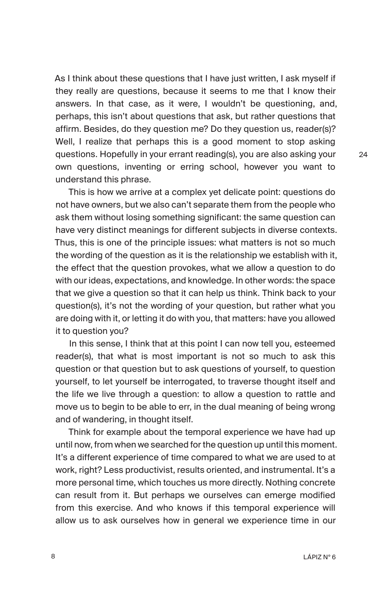As I think about these questions that I have just written, I ask myself if they really are questions, because it seems to me that I know their answers. In that case, as it were, I wouldn't be questioning, and, perhaps, this isn't about questions that ask, but rather questions that affirm. Besides, do they question me? Do they question us, reader(s)? Well, I realize that perhaps this is a good moment to stop asking questions. Hopefully in your errant reading(s), you are also asking your own questions, inventing or erring school, however you want to understand this phrase.

This is how we arrive at a complex yet delicate point: questions do not have owners, but we also can't separate them from the people who ask them without losing something significant: the same question can have very distinct meanings for different subjects in diverse contexts. Thus, this is one of the principle issues: what matters is not so much the wording of the question as it is the relationship we establish with it, the effect that the question provokes, what we allow a question to do with our ideas, expectations, and knowledge. In other words: the space that we give a question so that it can help us think. Think back to your question(s), it's not the wording of your question, but rather what you are doing with it, or letting it do with you, that matters: have you allowed it to question you?

In this sense, I think that at this point I can now tell you, esteemed reader(s), that what is most important is not so much to ask this question or that question but to ask questions of yourself, to question yourself, to let yourself be interrogated, to traverse thought itself and the life we live through a question: to allow a question to rattle and move us to begin to be able to err, in the dual meaning of being wrong and of wandering, in thought itself.

Think for example about the temporal experience we have had up until now, from when we searched for the question up until this moment. It's a different experience of time compared to what we are used to at work, right? Less productivist, results oriented, and instrumental. It's a more personal time, which touches us more directly. Nothing concrete can result from it. But perhaps we ourselves can emerge modified from this exercise. And who knows if this temporal experience will allow us to ask ourselves how in general we experience time in our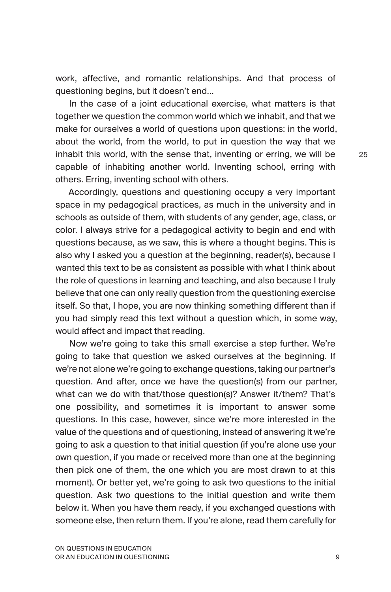work, affective, and romantic relationships. And that process of questioning begins, but it doesn't end...

In the case of a joint educational exercise, what matters is that together we question the common world which we inhabit, and that we make for ourselves a world of questions upon questions: in the world, about the world, from the world, to put in question the way that we inhabit this world, with the sense that, inventing or erring, we will be  $25$ capable of inhabiting another world. Inventing school, erring with others. Erring, inventing school with others.

> Accordingly, questions and questioning occupy a very important space in my pedagogical practices, as much in the university and in schools as outside of them, with students of any gender, age, class, or color. I always strive for a pedagogical activity to begin and end with questions because, as we saw, this is where a thought begins. This is also why I asked you a question at the beginning, reader(s), because I wanted this text to be as consistent as possible with what I think about the role of questions in learning and teaching, and also because I truly believe that one can only really question from the questioning exercise itself. So that, I hope, you are now thinking something different than if you had simply read this text without a question which, in some way, would affect and impact that reading.

> Now we're going to take this small exercise a step further. We're going to take that question we asked ourselves at the beginning. If we're not alone we're going to exchange questions, taking our partner's question. And after, once we have the question(s) from our partner, what can we do with that/those question(s)? Answer it/them? That's one possibility, and sometimes it is important to answer some questions. In this case, however, since we're more interested in the value of the questions and of questioning, instead of answering it we're going to ask a question to that initial question (if you're alone use your own question, if you made or received more than one at the beginning then pick one of them, the one which you are most drawn to at this moment). Or better yet, we're going to ask two questions to the initial question. Ask two questions to the initial question and write them below it. When you have them ready, if you exchanged questions with someone else, then return them. If you're alone, read them carefully for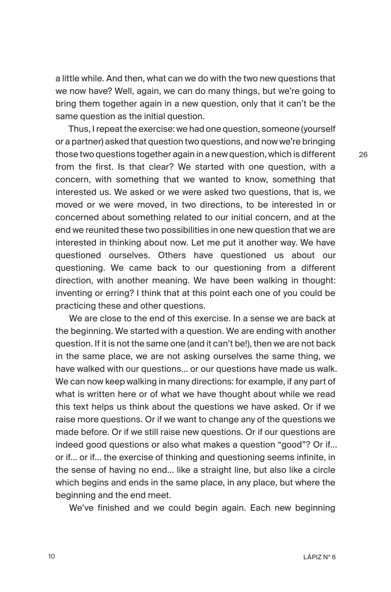a little while. And then, what can we do with the two new questions that we now have? Well, again, we can do many things, but we're going to bring them together again in a new question, only that it can't be the same question as the initial question.

Thus, I repeat the exercise: we had one question, someone (yourself or a partner) asked that question two questions, and now we're bringing those two questions together again in a new question, which is different from the first. Is that clear? We started with one question, with a concern, with something that we wanted to know, something that interested us. We asked or we were asked two questions, that is, we moved or we were moved, in two directions, to be interested in or concerned about something related to our initial concern, and at the end we reunited these two possibilities in one new question that we are interested in thinking about now. Let me put it another way. We have questioned ourselves. Others have questioned us about our questioning. We came back to our questioning from a different direction, with another meaning. We have been walking in thought: inventing or erring? I think that at this point each one of you could be practicing these and other questions.

We are close to the end of this exercise. In a sense we are back at the beginning. We started with a question. We are ending with another question. If it is not the same one (and it can't be!), then we are not back in the same place, we are not asking ourselves the same thing, we have walked with our questions... or our questions have made us walk. We can now keep walking in many directions: for example, if any part of what is written here or of what we have thought about while we read this text helps us think about the questions we have asked. Or if we raise more questions. Or if we want to change any of the questions we made before. Or if we still raise new questions. Or if our questions are indeed good questions or also what makes a question "good"? Or if... or if... or if... the exercise of thinking and questioning seems infinite, in the sense of having no end... like a straight line, but also like a circle which begins and ends in the same place, in any place, but where the beginning and the end meet.

We've finished and we could begin again. Each new beginning